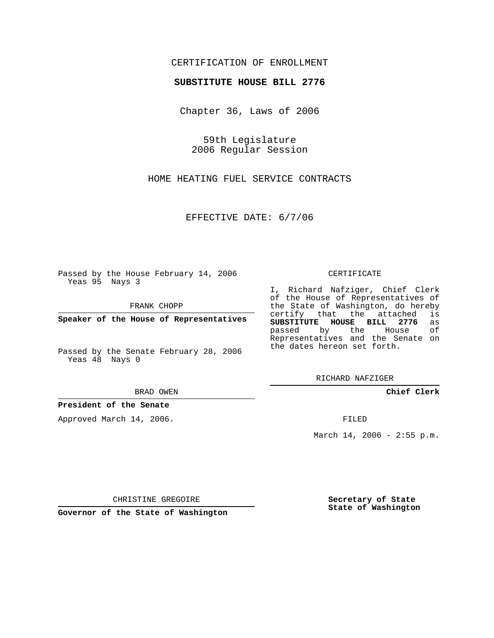## CERTIFICATION OF ENROLLMENT

## **SUBSTITUTE HOUSE BILL 2776**

Chapter 36, Laws of 2006

59th Legislature 2006 Regular Session

HOME HEATING FUEL SERVICE CONTRACTS

EFFECTIVE DATE: 6/7/06

Passed by the House February 14, 2006 Yeas 95 Nays 3

FRANK CHOPP

**Speaker of the House of Representatives**

Passed by the Senate February 28, 2006 Yeas 48 Nays 0

BRAD OWEN

**President of the Senate**

Approved March 14, 2006.

CERTIFICATE

I, Richard Nafziger, Chief Clerk of the House of Representatives of the State of Washington, do hereby<br>certify that the attached is certify that the attached **SUBSTITUTE HOUSE BILL 2776** as passed by the House Representatives and the Senate on the dates hereon set forth.

RICHARD NAFZIGER

**Chief Clerk**

FILED

March 14, 2006 - 2:55 p.m.

CHRISTINE GREGOIRE

**Governor of the State of Washington**

**Secretary of State State of Washington**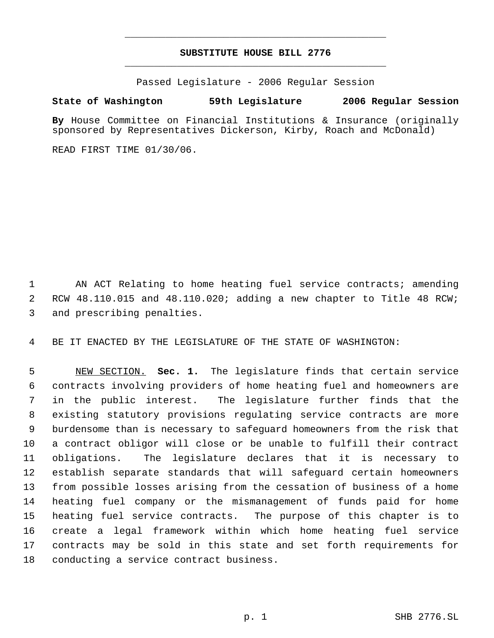## **SUBSTITUTE HOUSE BILL 2776** \_\_\_\_\_\_\_\_\_\_\_\_\_\_\_\_\_\_\_\_\_\_\_\_\_\_\_\_\_\_\_\_\_\_\_\_\_\_\_\_\_\_\_\_\_

\_\_\_\_\_\_\_\_\_\_\_\_\_\_\_\_\_\_\_\_\_\_\_\_\_\_\_\_\_\_\_\_\_\_\_\_\_\_\_\_\_\_\_\_\_

Passed Legislature - 2006 Regular Session

## **State of Washington 59th Legislature 2006 Regular Session**

**By** House Committee on Financial Institutions & Insurance (originally sponsored by Representatives Dickerson, Kirby, Roach and McDonald)

READ FIRST TIME 01/30/06.

1 AN ACT Relating to home heating fuel service contracts; amending RCW 48.110.015 and 48.110.020; adding a new chapter to Title 48 RCW; and prescribing penalties.

BE IT ENACTED BY THE LEGISLATURE OF THE STATE OF WASHINGTON:

 NEW SECTION. **Sec. 1.** The legislature finds that certain service contracts involving providers of home heating fuel and homeowners are in the public interest. The legislature further finds that the existing statutory provisions regulating service contracts are more burdensome than is necessary to safeguard homeowners from the risk that a contract obligor will close or be unable to fulfill their contract obligations. The legislature declares that it is necessary to establish separate standards that will safeguard certain homeowners from possible losses arising from the cessation of business of a home heating fuel company or the mismanagement of funds paid for home heating fuel service contracts. The purpose of this chapter is to create a legal framework within which home heating fuel service contracts may be sold in this state and set forth requirements for conducting a service contract business.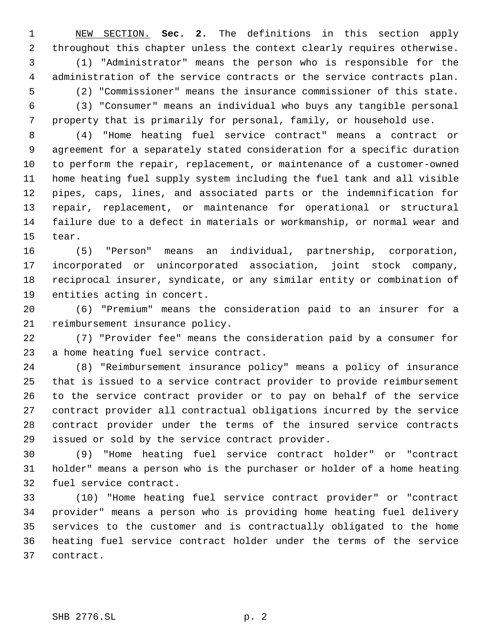NEW SECTION. **Sec. 2.** The definitions in this section apply throughout this chapter unless the context clearly requires otherwise. (1) "Administrator" means the person who is responsible for the administration of the service contracts or the service contracts plan. (2) "Commissioner" means the insurance commissioner of this state. (3) "Consumer" means an individual who buys any tangible personal property that is primarily for personal, family, or household use.

 (4) "Home heating fuel service contract" means a contract or agreement for a separately stated consideration for a specific duration to perform the repair, replacement, or maintenance of a customer-owned home heating fuel supply system including the fuel tank and all visible pipes, caps, lines, and associated parts or the indemnification for repair, replacement, or maintenance for operational or structural failure due to a defect in materials or workmanship, or normal wear and tear.

 (5) "Person" means an individual, partnership, corporation, incorporated or unincorporated association, joint stock company, reciprocal insurer, syndicate, or any similar entity or combination of entities acting in concert.

 (6) "Premium" means the consideration paid to an insurer for a reimbursement insurance policy.

 (7) "Provider fee" means the consideration paid by a consumer for a home heating fuel service contract.

 (8) "Reimbursement insurance policy" means a policy of insurance that is issued to a service contract provider to provide reimbursement to the service contract provider or to pay on behalf of the service contract provider all contractual obligations incurred by the service contract provider under the terms of the insured service contracts issued or sold by the service contract provider.

 (9) "Home heating fuel service contract holder" or "contract holder" means a person who is the purchaser or holder of a home heating fuel service contract.

 (10) "Home heating fuel service contract provider" or "contract provider" means a person who is providing home heating fuel delivery services to the customer and is contractually obligated to the home heating fuel service contract holder under the terms of the service contract.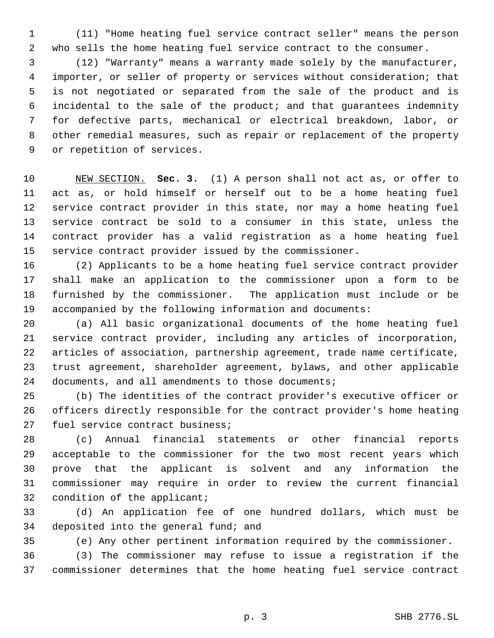(11) "Home heating fuel service contract seller" means the person who sells the home heating fuel service contract to the consumer.

 (12) "Warranty" means a warranty made solely by the manufacturer, importer, or seller of property or services without consideration; that is not negotiated or separated from the sale of the product and is incidental to the sale of the product; and that guarantees indemnity for defective parts, mechanical or electrical breakdown, labor, or other remedial measures, such as repair or replacement of the property or repetition of services.

 NEW SECTION. **Sec. 3.** (1) A person shall not act as, or offer to act as, or hold himself or herself out to be a home heating fuel service contract provider in this state, nor may a home heating fuel service contract be sold to a consumer in this state, unless the contract provider has a valid registration as a home heating fuel service contract provider issued by the commissioner.

 (2) Applicants to be a home heating fuel service contract provider shall make an application to the commissioner upon a form to be furnished by the commissioner. The application must include or be accompanied by the following information and documents:

 (a) All basic organizational documents of the home heating fuel service contract provider, including any articles of incorporation, articles of association, partnership agreement, trade name certificate, trust agreement, shareholder agreement, bylaws, and other applicable documents, and all amendments to those documents;

 (b) The identities of the contract provider's executive officer or officers directly responsible for the contract provider's home heating fuel service contract business;

 (c) Annual financial statements or other financial reports acceptable to the commissioner for the two most recent years which prove that the applicant is solvent and any information the commissioner may require in order to review the current financial 32 condition of the applicant;

 (d) An application fee of one hundred dollars, which must be deposited into the general fund; and

(e) Any other pertinent information required by the commissioner.

 (3) The commissioner may refuse to issue a registration if the commissioner determines that the home heating fuel service contract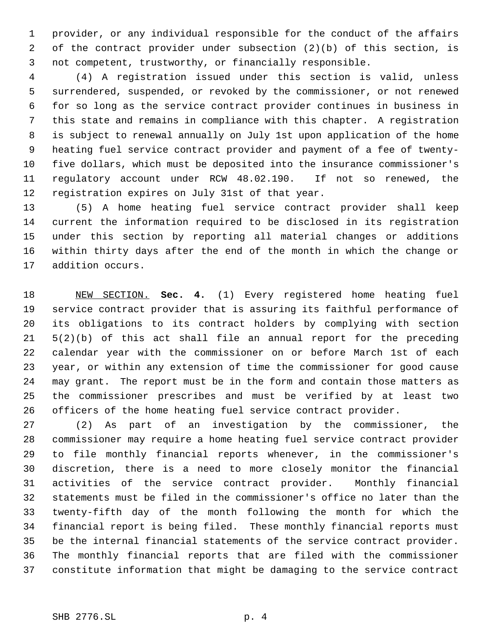provider, or any individual responsible for the conduct of the affairs of the contract provider under subsection (2)(b) of this section, is not competent, trustworthy, or financially responsible.

 (4) A registration issued under this section is valid, unless surrendered, suspended, or revoked by the commissioner, or not renewed for so long as the service contract provider continues in business in this state and remains in compliance with this chapter. A registration is subject to renewal annually on July 1st upon application of the home heating fuel service contract provider and payment of a fee of twenty- five dollars, which must be deposited into the insurance commissioner's regulatory account under RCW 48.02.190. If not so renewed, the registration expires on July 31st of that year.

 (5) A home heating fuel service contract provider shall keep current the information required to be disclosed in its registration under this section by reporting all material changes or additions within thirty days after the end of the month in which the change or addition occurs.

 NEW SECTION. **Sec. 4.** (1) Every registered home heating fuel service contract provider that is assuring its faithful performance of its obligations to its contract holders by complying with section 5(2)(b) of this act shall file an annual report for the preceding calendar year with the commissioner on or before March 1st of each year, or within any extension of time the commissioner for good cause may grant. The report must be in the form and contain those matters as the commissioner prescribes and must be verified by at least two officers of the home heating fuel service contract provider.

 (2) As part of an investigation by the commissioner, the commissioner may require a home heating fuel service contract provider to file monthly financial reports whenever, in the commissioner's discretion, there is a need to more closely monitor the financial activities of the service contract provider. Monthly financial statements must be filed in the commissioner's office no later than the twenty-fifth day of the month following the month for which the financial report is being filed. These monthly financial reports must be the internal financial statements of the service contract provider. The monthly financial reports that are filed with the commissioner constitute information that might be damaging to the service contract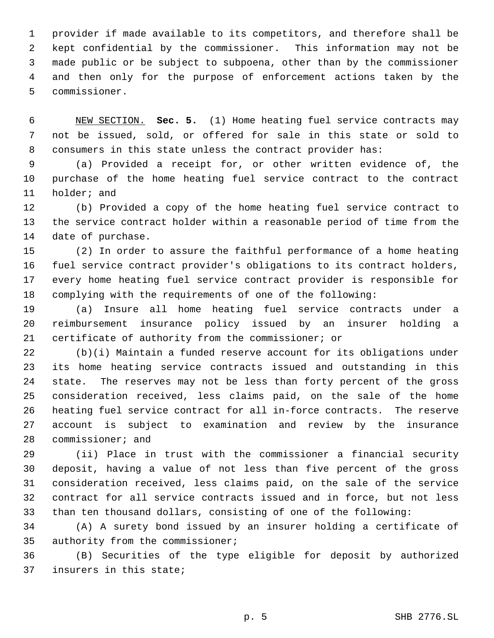provider if made available to its competitors, and therefore shall be kept confidential by the commissioner. This information may not be made public or be subject to subpoena, other than by the commissioner and then only for the purpose of enforcement actions taken by the commissioner.

 NEW SECTION. **Sec. 5.** (1) Home heating fuel service contracts may not be issued, sold, or offered for sale in this state or sold to consumers in this state unless the contract provider has:

 (a) Provided a receipt for, or other written evidence of, the purchase of the home heating fuel service contract to the contract holder; and

 (b) Provided a copy of the home heating fuel service contract to the service contract holder within a reasonable period of time from the date of purchase.

 (2) In order to assure the faithful performance of a home heating fuel service contract provider's obligations to its contract holders, every home heating fuel service contract provider is responsible for complying with the requirements of one of the following:

 (a) Insure all home heating fuel service contracts under a reimbursement insurance policy issued by an insurer holding a certificate of authority from the commissioner; or

 (b)(i) Maintain a funded reserve account for its obligations under its home heating service contracts issued and outstanding in this state. The reserves may not be less than forty percent of the gross consideration received, less claims paid, on the sale of the home heating fuel service contract for all in-force contracts. The reserve account is subject to examination and review by the insurance commissioner; and

 (ii) Place in trust with the commissioner a financial security deposit, having a value of not less than five percent of the gross consideration received, less claims paid, on the sale of the service contract for all service contracts issued and in force, but not less than ten thousand dollars, consisting of one of the following:

 (A) A surety bond issued by an insurer holding a certificate of authority from the commissioner;

 (B) Securities of the type eligible for deposit by authorized insurers in this state;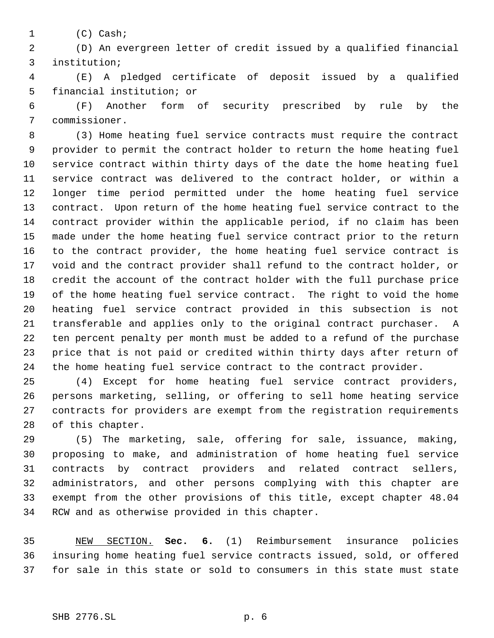(C) Cash;

 (D) An evergreen letter of credit issued by a qualified financial institution;

 (E) A pledged certificate of deposit issued by a qualified financial institution; or

 (F) Another form of security prescribed by rule by the commissioner.

 (3) Home heating fuel service contracts must require the contract provider to permit the contract holder to return the home heating fuel service contract within thirty days of the date the home heating fuel service contract was delivered to the contract holder, or within a longer time period permitted under the home heating fuel service contract. Upon return of the home heating fuel service contract to the contract provider within the applicable period, if no claim has been made under the home heating fuel service contract prior to the return to the contract provider, the home heating fuel service contract is void and the contract provider shall refund to the contract holder, or credit the account of the contract holder with the full purchase price of the home heating fuel service contract. The right to void the home heating fuel service contract provided in this subsection is not transferable and applies only to the original contract purchaser. A ten percent penalty per month must be added to a refund of the purchase price that is not paid or credited within thirty days after return of the home heating fuel service contract to the contract provider.

 (4) Except for home heating fuel service contract providers, persons marketing, selling, or offering to sell home heating service contracts for providers are exempt from the registration requirements of this chapter.

 (5) The marketing, sale, offering for sale, issuance, making, proposing to make, and administration of home heating fuel service contracts by contract providers and related contract sellers, administrators, and other persons complying with this chapter are exempt from the other provisions of this title, except chapter 48.04 RCW and as otherwise provided in this chapter.

 NEW SECTION. **Sec. 6.** (1) Reimbursement insurance policies insuring home heating fuel service contracts issued, sold, or offered for sale in this state or sold to consumers in this state must state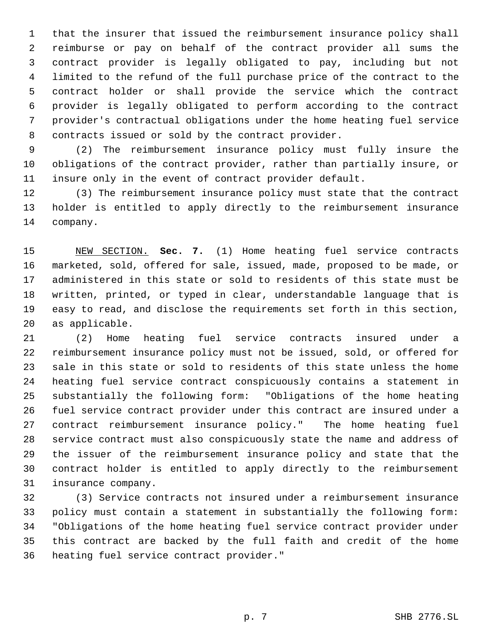that the insurer that issued the reimbursement insurance policy shall reimburse or pay on behalf of the contract provider all sums the contract provider is legally obligated to pay, including but not limited to the refund of the full purchase price of the contract to the contract holder or shall provide the service which the contract provider is legally obligated to perform according to the contract provider's contractual obligations under the home heating fuel service contracts issued or sold by the contract provider.

 (2) The reimbursement insurance policy must fully insure the obligations of the contract provider, rather than partially insure, or insure only in the event of contract provider default.

 (3) The reimbursement insurance policy must state that the contract holder is entitled to apply directly to the reimbursement insurance company.

 NEW SECTION. **Sec. 7.** (1) Home heating fuel service contracts marketed, sold, offered for sale, issued, made, proposed to be made, or administered in this state or sold to residents of this state must be written, printed, or typed in clear, understandable language that is easy to read, and disclose the requirements set forth in this section, as applicable.

 (2) Home heating fuel service contracts insured under a reimbursement insurance policy must not be issued, sold, or offered for sale in this state or sold to residents of this state unless the home heating fuel service contract conspicuously contains a statement in substantially the following form: "Obligations of the home heating fuel service contract provider under this contract are insured under a contract reimbursement insurance policy." The home heating fuel service contract must also conspicuously state the name and address of the issuer of the reimbursement insurance policy and state that the contract holder is entitled to apply directly to the reimbursement insurance company.

 (3) Service contracts not insured under a reimbursement insurance policy must contain a statement in substantially the following form: "Obligations of the home heating fuel service contract provider under this contract are backed by the full faith and credit of the home heating fuel service contract provider."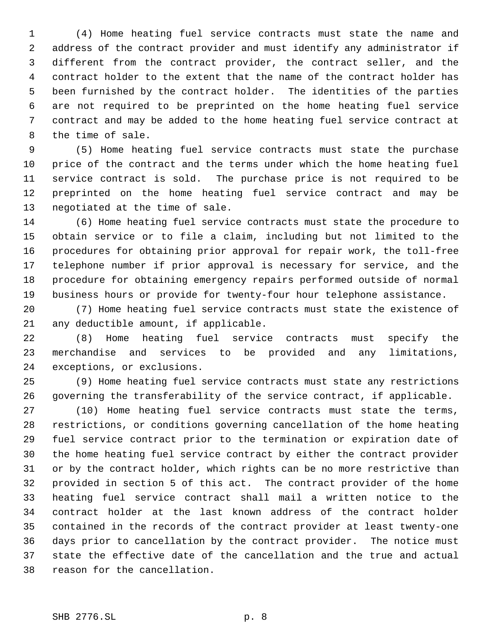(4) Home heating fuel service contracts must state the name and address of the contract provider and must identify any administrator if different from the contract provider, the contract seller, and the contract holder to the extent that the name of the contract holder has been furnished by the contract holder. The identities of the parties are not required to be preprinted on the home heating fuel service contract and may be added to the home heating fuel service contract at the time of sale.

 (5) Home heating fuel service contracts must state the purchase price of the contract and the terms under which the home heating fuel service contract is sold. The purchase price is not required to be preprinted on the home heating fuel service contract and may be negotiated at the time of sale.

 (6) Home heating fuel service contracts must state the procedure to obtain service or to file a claim, including but not limited to the procedures for obtaining prior approval for repair work, the toll-free telephone number if prior approval is necessary for service, and the procedure for obtaining emergency repairs performed outside of normal business hours or provide for twenty-four hour telephone assistance.

 (7) Home heating fuel service contracts must state the existence of any deductible amount, if applicable.

 (8) Home heating fuel service contracts must specify the merchandise and services to be provided and any limitations, exceptions, or exclusions.

 (9) Home heating fuel service contracts must state any restrictions governing the transferability of the service contract, if applicable.

 (10) Home heating fuel service contracts must state the terms, restrictions, or conditions governing cancellation of the home heating fuel service contract prior to the termination or expiration date of the home heating fuel service contract by either the contract provider or by the contract holder, which rights can be no more restrictive than provided in section 5 of this act. The contract provider of the home heating fuel service contract shall mail a written notice to the contract holder at the last known address of the contract holder contained in the records of the contract provider at least twenty-one days prior to cancellation by the contract provider. The notice must state the effective date of the cancellation and the true and actual reason for the cancellation.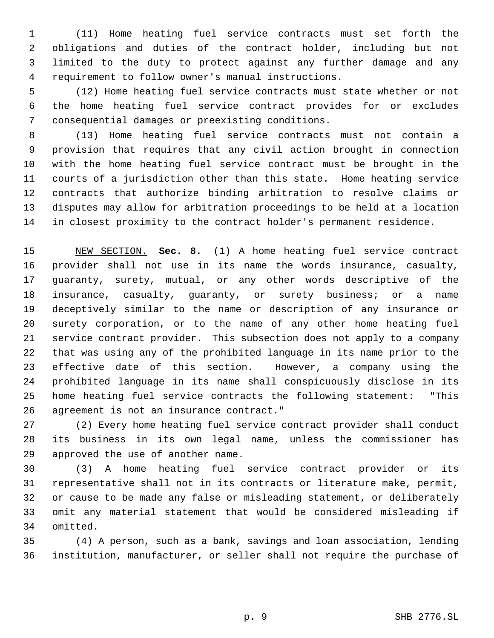(11) Home heating fuel service contracts must set forth the obligations and duties of the contract holder, including but not limited to the duty to protect against any further damage and any requirement to follow owner's manual instructions.

 (12) Home heating fuel service contracts must state whether or not the home heating fuel service contract provides for or excludes consequential damages or preexisting conditions.

 (13) Home heating fuel service contracts must not contain a provision that requires that any civil action brought in connection with the home heating fuel service contract must be brought in the courts of a jurisdiction other than this state. Home heating service contracts that authorize binding arbitration to resolve claims or disputes may allow for arbitration proceedings to be held at a location in closest proximity to the contract holder's permanent residence.

 NEW SECTION. **Sec. 8.** (1) A home heating fuel service contract provider shall not use in its name the words insurance, casualty, guaranty, surety, mutual, or any other words descriptive of the insurance, casualty, guaranty, or surety business; or a name deceptively similar to the name or description of any insurance or surety corporation, or to the name of any other home heating fuel service contract provider. This subsection does not apply to a company that was using any of the prohibited language in its name prior to the effective date of this section. However, a company using the prohibited language in its name shall conspicuously disclose in its home heating fuel service contracts the following statement: "This agreement is not an insurance contract."

 (2) Every home heating fuel service contract provider shall conduct its business in its own legal name, unless the commissioner has approved the use of another name.

 (3) A home heating fuel service contract provider or its representative shall not in its contracts or literature make, permit, or cause to be made any false or misleading statement, or deliberately omit any material statement that would be considered misleading if omitted.

 (4) A person, such as a bank, savings and loan association, lending institution, manufacturer, or seller shall not require the purchase of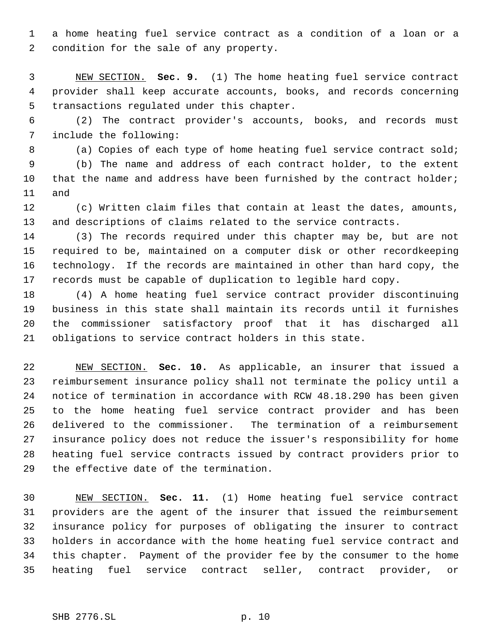a home heating fuel service contract as a condition of a loan or a condition for the sale of any property.

 NEW SECTION. **Sec. 9.** (1) The home heating fuel service contract provider shall keep accurate accounts, books, and records concerning transactions regulated under this chapter.

 (2) The contract provider's accounts, books, and records must include the following:

8 (a) Copies of each type of home heating fuel service contract sold; (b) The name and address of each contract holder, to the extent 10 that the name and address have been furnished by the contract holder; and

 (c) Written claim files that contain at least the dates, amounts, and descriptions of claims related to the service contracts.

 (3) The records required under this chapter may be, but are not required to be, maintained on a computer disk or other recordkeeping technology. If the records are maintained in other than hard copy, the records must be capable of duplication to legible hard copy.

 (4) A home heating fuel service contract provider discontinuing business in this state shall maintain its records until it furnishes the commissioner satisfactory proof that it has discharged all obligations to service contract holders in this state.

 NEW SECTION. **Sec. 10.** As applicable, an insurer that issued a reimbursement insurance policy shall not terminate the policy until a notice of termination in accordance with RCW 48.18.290 has been given to the home heating fuel service contract provider and has been delivered to the commissioner. The termination of a reimbursement insurance policy does not reduce the issuer's responsibility for home heating fuel service contracts issued by contract providers prior to the effective date of the termination.

 NEW SECTION. **Sec. 11.** (1) Home heating fuel service contract providers are the agent of the insurer that issued the reimbursement insurance policy for purposes of obligating the insurer to contract holders in accordance with the home heating fuel service contract and this chapter. Payment of the provider fee by the consumer to the home heating fuel service contract seller, contract provider, or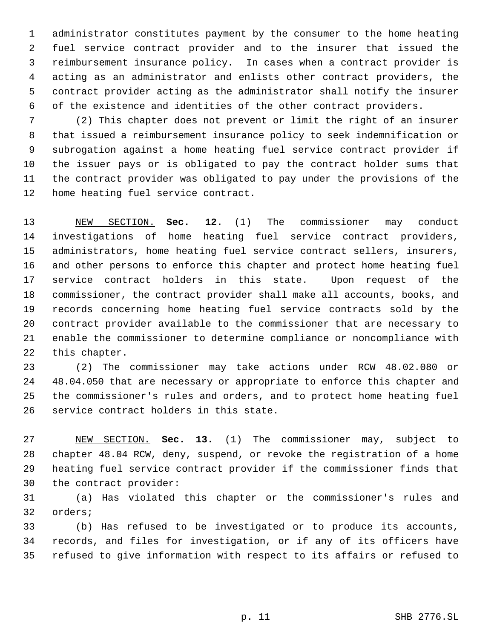administrator constitutes payment by the consumer to the home heating fuel service contract provider and to the insurer that issued the reimbursement insurance policy. In cases when a contract provider is acting as an administrator and enlists other contract providers, the contract provider acting as the administrator shall notify the insurer of the existence and identities of the other contract providers.

 (2) This chapter does not prevent or limit the right of an insurer that issued a reimbursement insurance policy to seek indemnification or subrogation against a home heating fuel service contract provider if the issuer pays or is obligated to pay the contract holder sums that the contract provider was obligated to pay under the provisions of the home heating fuel service contract.

 NEW SECTION. **Sec. 12.** (1) The commissioner may conduct investigations of home heating fuel service contract providers, administrators, home heating fuel service contract sellers, insurers, and other persons to enforce this chapter and protect home heating fuel service contract holders in this state. Upon request of the commissioner, the contract provider shall make all accounts, books, and records concerning home heating fuel service contracts sold by the contract provider available to the commissioner that are necessary to enable the commissioner to determine compliance or noncompliance with this chapter.

 (2) The commissioner may take actions under RCW 48.02.080 or 48.04.050 that are necessary or appropriate to enforce this chapter and the commissioner's rules and orders, and to protect home heating fuel service contract holders in this state.

 NEW SECTION. **Sec. 13.** (1) The commissioner may, subject to chapter 48.04 RCW, deny, suspend, or revoke the registration of a home heating fuel service contract provider if the commissioner finds that the contract provider:

 (a) Has violated this chapter or the commissioner's rules and orders;

 (b) Has refused to be investigated or to produce its accounts, records, and files for investigation, or if any of its officers have refused to give information with respect to its affairs or refused to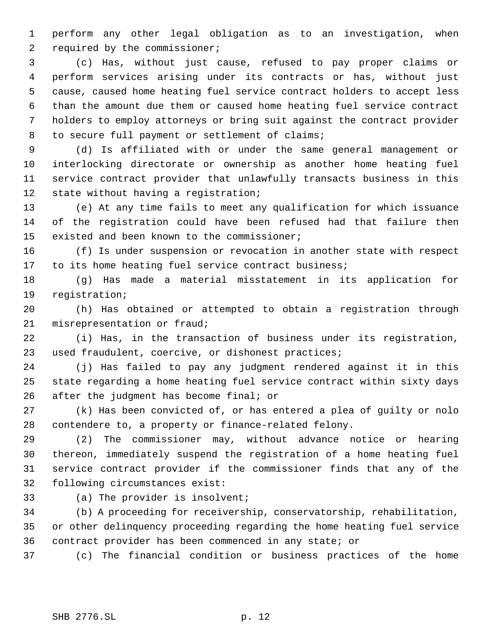perform any other legal obligation as to an investigation, when 2 required by the commissioner;

 (c) Has, without just cause, refused to pay proper claims or perform services arising under its contracts or has, without just cause, caused home heating fuel service contract holders to accept less than the amount due them or caused home heating fuel service contract holders to employ attorneys or bring suit against the contract provider 8 to secure full payment or settlement of claims;

 (d) Is affiliated with or under the same general management or interlocking directorate or ownership as another home heating fuel service contract provider that unlawfully transacts business in this state without having a registration;

 (e) At any time fails to meet any qualification for which issuance of the registration could have been refused had that failure then existed and been known to the commissioner;

 (f) Is under suspension or revocation in another state with respect to its home heating fuel service contract business;

 (g) Has made a material misstatement in its application for registration;

 (h) Has obtained or attempted to obtain a registration through misrepresentation or fraud;

 (i) Has, in the transaction of business under its registration, used fraudulent, coercive, or dishonest practices;

 (j) Has failed to pay any judgment rendered against it in this state regarding a home heating fuel service contract within sixty days after the judgment has become final; or

 (k) Has been convicted of, or has entered a plea of guilty or nolo contendere to, a property or finance-related felony.

 (2) The commissioner may, without advance notice or hearing thereon, immediately suspend the registration of a home heating fuel service contract provider if the commissioner finds that any of the following circumstances exist:

(a) The provider is insolvent;

 (b) A proceeding for receivership, conservatorship, rehabilitation, or other delinquency proceeding regarding the home heating fuel service contract provider has been commenced in any state; or

(c) The financial condition or business practices of the home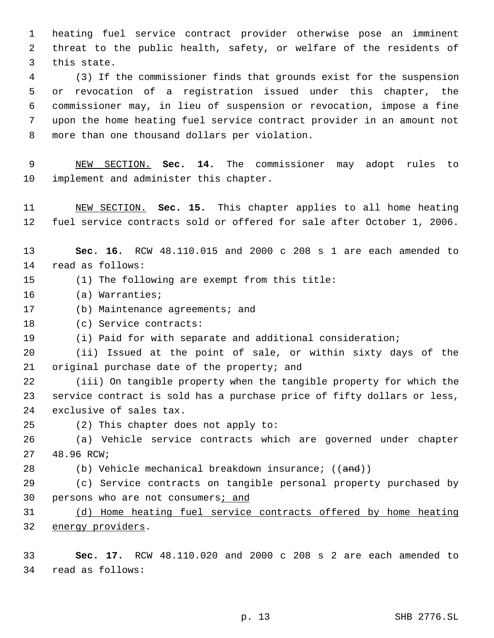heating fuel service contract provider otherwise pose an imminent threat to the public health, safety, or welfare of the residents of this state.

 (3) If the commissioner finds that grounds exist for the suspension or revocation of a registration issued under this chapter, the commissioner may, in lieu of suspension or revocation, impose a fine upon the home heating fuel service contract provider in an amount not more than one thousand dollars per violation.

 NEW SECTION. **Sec. 14.** The commissioner may adopt rules to implement and administer this chapter.

 NEW SECTION. **Sec. 15.** This chapter applies to all home heating fuel service contracts sold or offered for sale after October 1, 2006.

 **Sec. 16.** RCW 48.110.015 and 2000 c 208 s 1 are each amended to read as follows:

- (1) The following are exempt from this title:
- (a) Warranties;
- (b) Maintenance agreements; and

(c) Service contracts:

(i) Paid for with separate and additional consideration;

 (ii) Issued at the point of sale, or within sixty days of the original purchase date of the property; and

 (iii) On tangible property when the tangible property for which the service contract is sold has a purchase price of fifty dollars or less, exclusive of sales tax.

(2) This chapter does not apply to:

 (a) Vehicle service contracts which are governed under chapter 48.96 RCW;

28 (b) Vehicle mechanical breakdown insurance; ((and))

 (c) Service contracts on tangible personal property purchased by 30 persons who are not consumers; and

 (d) Home heating fuel service contracts offered by home heating 32 energy providers.

 **Sec. 17.** RCW 48.110.020 and 2000 c 208 s 2 are each amended to read as follows: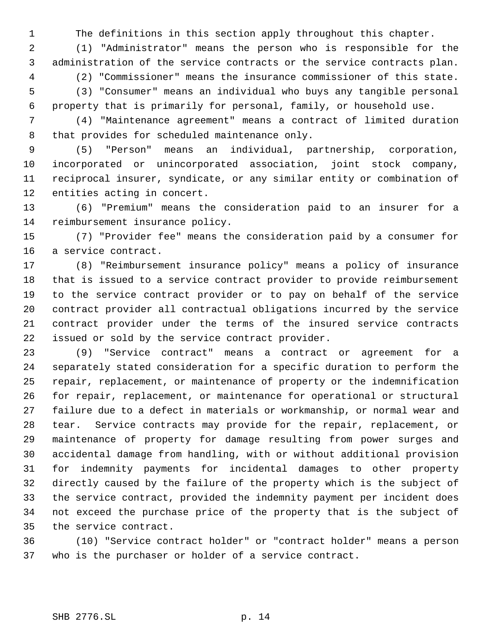The definitions in this section apply throughout this chapter.

 (1) "Administrator" means the person who is responsible for the administration of the service contracts or the service contracts plan. (2) "Commissioner" means the insurance commissioner of this state. (3) "Consumer" means an individual who buys any tangible personal

property that is primarily for personal, family, or household use.

 (4) "Maintenance agreement" means a contract of limited duration that provides for scheduled maintenance only.

 (5) "Person" means an individual, partnership, corporation, incorporated or unincorporated association, joint stock company, reciprocal insurer, syndicate, or any similar entity or combination of entities acting in concert.

 (6) "Premium" means the consideration paid to an insurer for a reimbursement insurance policy.

 (7) "Provider fee" means the consideration paid by a consumer for a service contract.

 (8) "Reimbursement insurance policy" means a policy of insurance that is issued to a service contract provider to provide reimbursement to the service contract provider or to pay on behalf of the service contract provider all contractual obligations incurred by the service contract provider under the terms of the insured service contracts issued or sold by the service contract provider.

 (9) "Service contract" means a contract or agreement for a separately stated consideration for a specific duration to perform the repair, replacement, or maintenance of property or the indemnification for repair, replacement, or maintenance for operational or structural failure due to a defect in materials or workmanship, or normal wear and tear. Service contracts may provide for the repair, replacement, or maintenance of property for damage resulting from power surges and accidental damage from handling, with or without additional provision for indemnity payments for incidental damages to other property directly caused by the failure of the property which is the subject of the service contract, provided the indemnity payment per incident does not exceed the purchase price of the property that is the subject of the service contract.

 (10) "Service contract holder" or "contract holder" means a person who is the purchaser or holder of a service contract.